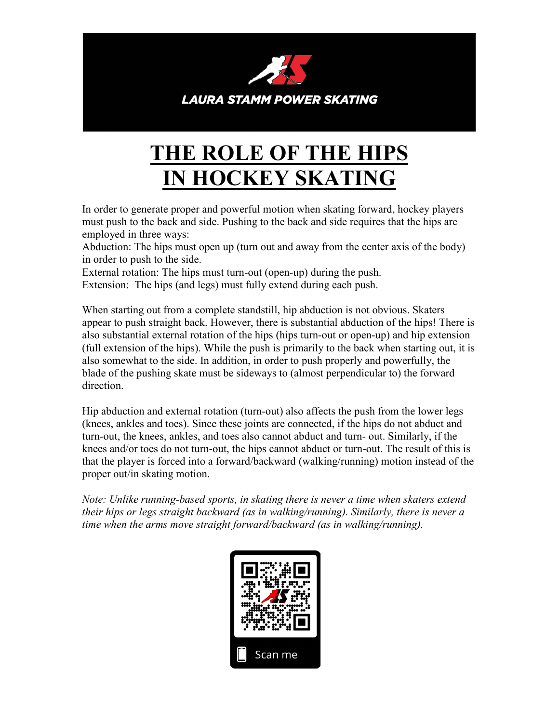

## **THE ROLE OF THE HIPS IN HOCKEY SKATING**

In order to generate proper and powerful motion when skating forward, hockey players must push to the back and side. Pushing to the back and side requires that the hips are employed in three ways:

Abduction: The hips must open up (turn out and away from the center axis of the body) in order to push to the side.

External rotation: The hips must turn-out (open-up) during the push.

Extension: The hips (and legs) must fully extend during each push.

When starting out from a complete standstill, hip abduction is not obvious. Skaters appear to push straight back. However, there is substantial abduction of the hips! There is also substantial external rotation of the hips (hips turn-out or open-up) and hip extension (full extension of the hips). While the push is primarily to the back when starting out, it is also somewhat to the side. In addition, in order to push properly and powerfully, the blade of the pushing skate must be sideways to (almost perpendicular to) the forward direction.

Hip abduction and external rotation (turn-out) also affects the push from the lower legs (knees, ankles and toes). Since these joints are connected, if the hips do not abduct and turn-out, the knees, ankles, and toes also cannot abduct and turn- out. Similarly, if the knees and/or toes do not turn-out, the hips cannot abduct or turn-out. The result of this is that the player is forced into a forward/backward (walking/running) motion instead of the proper out/in skating motion.

*Note: Unlike running-based sports, in skating there is never a time when skaters extend their hips or legs straight backward (as in walking/running). Similarly, there is never a time when the arms move straight forward/backward (as in walking/running).*